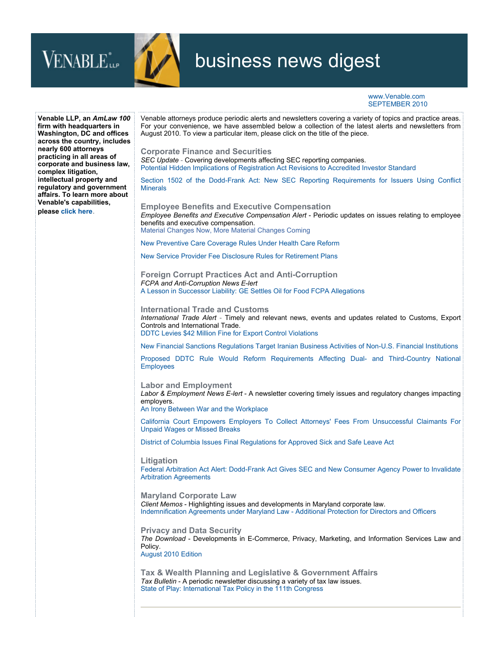



## business news digest

www.Venable.com SEPTEMBER 2010

| Venable LLP, an AmLaw 100<br>firm with headquarters in<br>Washington, DC and offices<br>across the country, includes<br>nearly 600 attorneys<br>practicing in all areas of<br>corporate and business law,<br>complex litigation,<br>intellectual property and<br>regulatory and government<br>affairs. To learn more about<br>Venable's capabilities,<br>please click here. | Venable attorneys produce periodic alerts and newsletters covering a variety of topics and practice areas.<br>For your convenience, we have assembled below a collection of the latest alerts and newsletters from<br>August 2010. To view a particular item, please click on the title of the piece. |
|-----------------------------------------------------------------------------------------------------------------------------------------------------------------------------------------------------------------------------------------------------------------------------------------------------------------------------------------------------------------------------|-------------------------------------------------------------------------------------------------------------------------------------------------------------------------------------------------------------------------------------------------------------------------------------------------------|
|                                                                                                                                                                                                                                                                                                                                                                             | <b>Corporate Finance and Securities</b><br>SEC Update - Covering developments affecting SEC reporting companies.<br>Potential Hidden Implications of Registration Act Revisions to Accredited Investor Standard                                                                                       |
|                                                                                                                                                                                                                                                                                                                                                                             | Section 1502 of the Dodd-Frank Act: New SEC Reporting Requirements for Issuers Using Conflict<br><b>Minerals</b>                                                                                                                                                                                      |
|                                                                                                                                                                                                                                                                                                                                                                             | <b>Employee Benefits and Executive Compensation</b><br>Employee Benefits and Executive Compensation Alert - Periodic updates on issues relating to employee<br>benefits and executive compensation.<br>Material Changes Now, More Material Changes Coming                                             |
|                                                                                                                                                                                                                                                                                                                                                                             | New Preventive Care Coverage Rules Under Health Care Reform                                                                                                                                                                                                                                           |
|                                                                                                                                                                                                                                                                                                                                                                             | New Service Provider Fee Disclosure Rules for Retirement Plans                                                                                                                                                                                                                                        |
|                                                                                                                                                                                                                                                                                                                                                                             | <b>Foreign Corrupt Practices Act and Anti-Corruption</b><br>FCPA and Anti-Corruption News E-lert<br>A Lesson in Successor Liability: GE Settles Oil for Food FCPA Allegations                                                                                                                         |
|                                                                                                                                                                                                                                                                                                                                                                             |                                                                                                                                                                                                                                                                                                       |
|                                                                                                                                                                                                                                                                                                                                                                             | <b>International Trade and Customs</b><br>International Trade Alert - Timely and relevant news, events and updates related to Customs, Export<br>Controls and International Trade.<br>DDTC Levies \$42 Million Fine for Export Control Violations                                                     |
|                                                                                                                                                                                                                                                                                                                                                                             | New Financial Sanctions Regulations Target Iranian Business Activities of Non-U.S. Financial Institutions                                                                                                                                                                                             |
|                                                                                                                                                                                                                                                                                                                                                                             | Proposed DDTC Rule Would Reform Requirements Affecting Dual- and Third-Country National<br><b>Employees</b>                                                                                                                                                                                           |
|                                                                                                                                                                                                                                                                                                                                                                             | <b>Labor and Employment</b><br>Labor & Employment News E-lert - A newsletter covering timely issues and regulatory changes impacting<br>employers.<br>An Irony Between War and the Workplace                                                                                                          |
|                                                                                                                                                                                                                                                                                                                                                                             | California Court Empowers Employers To Collect Attorneys' Fees From Unsuccessful Claimants For<br><b>Unpaid Wages or Missed Breaks</b>                                                                                                                                                                |
|                                                                                                                                                                                                                                                                                                                                                                             | District of Columbia Issues Final Regulations for Approved Sick and Safe Leave Act                                                                                                                                                                                                                    |
|                                                                                                                                                                                                                                                                                                                                                                             | Litigation<br>Federal Arbitration Act Alert: Dodd-Frank Act Gives SEC and New Consumer Agency Power to Invalidate<br><b>Arbitration Agreements</b>                                                                                                                                                    |
|                                                                                                                                                                                                                                                                                                                                                                             | <b>Maryland Corporate Law</b><br>Client Memos - Highlighting issues and developments in Maryland corporate law.<br>Indemnification Agreements under Maryland Law - Additional Protection for Directors and Officers                                                                                   |
|                                                                                                                                                                                                                                                                                                                                                                             | <b>Privacy and Data Security</b><br>The Download - Developments in E-Commerce, Privacy, Marketing, and Information Services Law and<br>Policy.<br>August 2010 Edition                                                                                                                                 |
|                                                                                                                                                                                                                                                                                                                                                                             | Tax & Wealth Planning and Legislative & Government Affairs<br>Tax Bulletin - A periodic newsletter discussing a variety of tax law issues.<br>State of Play: International Tax Policy in the 111th Congress                                                                                           |
|                                                                                                                                                                                                                                                                                                                                                                             |                                                                                                                                                                                                                                                                                                       |